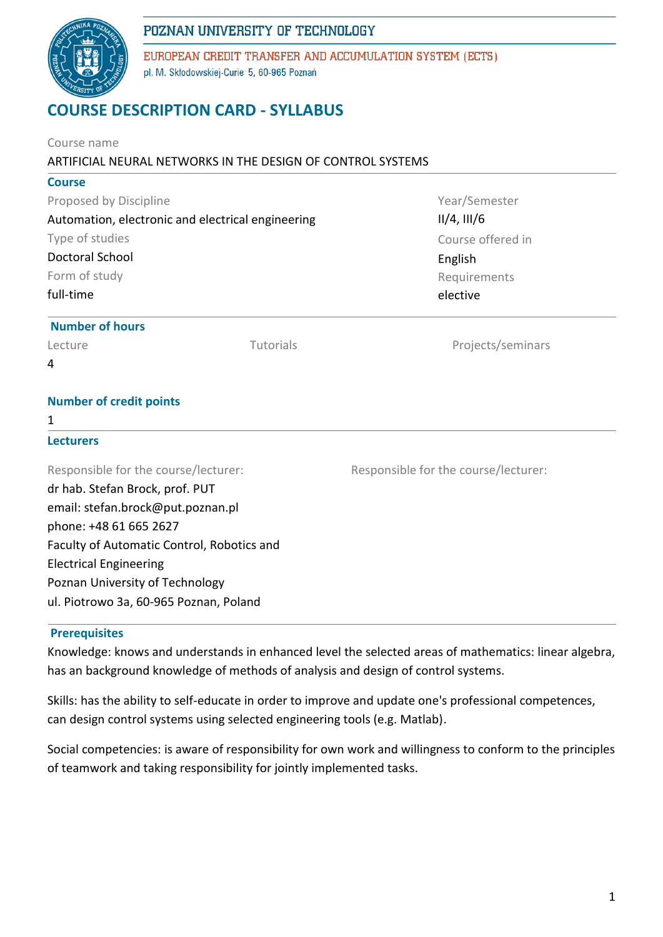

EUROPEAN CREDIT TRANSFER AND ACCUMULATION SYSTEM (ECTS) pl. M. Skłodowskiej-Curie 5, 60-965 Poznań

# **COURSE DESCRIPTION CARD - SYLLABUS**

| Course name<br>ARTIFICIAL NEURAL NETWORKS IN THE DESIGN OF CONTROL SYSTEMS                                                                                                                                                                                                                         |           |                                       |  |  |  |  |
|----------------------------------------------------------------------------------------------------------------------------------------------------------------------------------------------------------------------------------------------------------------------------------------------------|-----------|---------------------------------------|--|--|--|--|
| <b>Course</b>                                                                                                                                                                                                                                                                                      |           |                                       |  |  |  |  |
| Proposed by Discipline                                                                                                                                                                                                                                                                             |           | Year/Semester                         |  |  |  |  |
| Automation, electronic and electrical engineering                                                                                                                                                                                                                                                  |           | $II/4$ , $III/6$<br>Course offered in |  |  |  |  |
| Type of studies                                                                                                                                                                                                                                                                                    |           |                                       |  |  |  |  |
| <b>Doctoral School</b><br>Form of study                                                                                                                                                                                                                                                            |           | English                               |  |  |  |  |
|                                                                                                                                                                                                                                                                                                    |           | Requirements                          |  |  |  |  |
| full-time                                                                                                                                                                                                                                                                                          |           | elective                              |  |  |  |  |
| <b>Number of hours</b>                                                                                                                                                                                                                                                                             |           |                                       |  |  |  |  |
| Lecture                                                                                                                                                                                                                                                                                            | Tutorials | Projects/seminars                     |  |  |  |  |
| 4                                                                                                                                                                                                                                                                                                  |           |                                       |  |  |  |  |
| <b>Number of credit points</b>                                                                                                                                                                                                                                                                     |           |                                       |  |  |  |  |
| 1                                                                                                                                                                                                                                                                                                  |           |                                       |  |  |  |  |
| <b>Lecturers</b>                                                                                                                                                                                                                                                                                   |           |                                       |  |  |  |  |
| Responsible for the course/lecturer:<br>dr hab. Stefan Brock, prof. PUT<br>email: stefan.brock@put.poznan.pl<br>phone: +48 61 665 2627<br>Faculty of Automatic Control, Robotics and<br><b>Electrical Engineering</b><br>Poznan University of Technology<br>ul. Piotrowo 3a, 60-965 Poznan, Poland |           | Responsible for the course/lecturer:  |  |  |  |  |

### **Prerequisites**

Knowledge: knows and understands in enhanced level the selected areas of mathematics: linear algebra, has an background knowledge of methods of analysis and design of control systems.

Skills: has the ability to self-educate in order to improve and update one's professional competences, can design control systems using selected engineering tools (e.g. Matlab).

Social competencies: is aware of responsibility for own work and willingness to conform to the principles of teamwork and taking responsibility for jointly implemented tasks.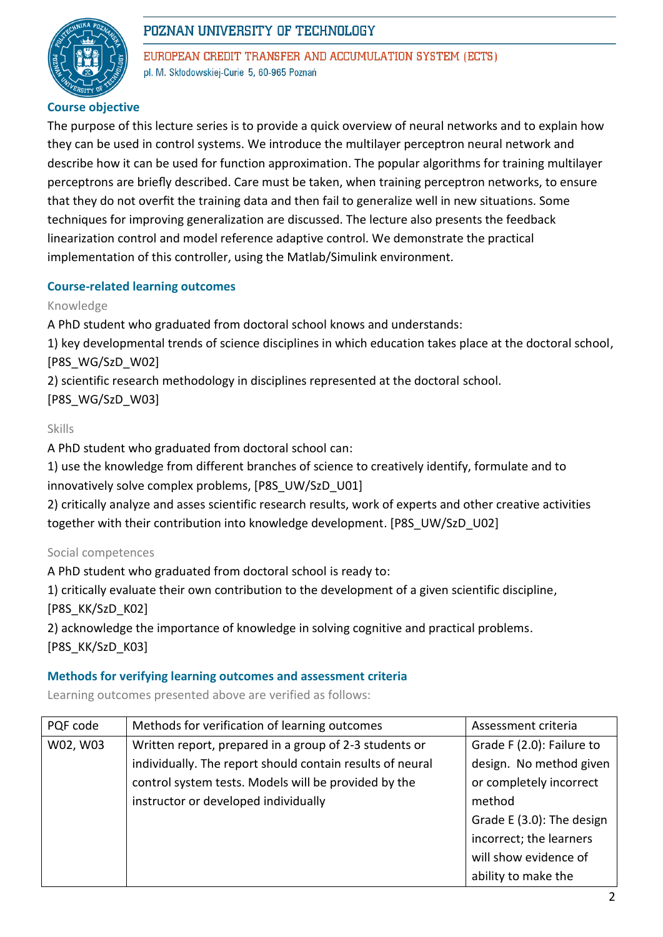

EUROPEAN CREDIT TRANSFER AND ACCUMULATION SYSTEM (ECTS) pl. M. Skłodowskiej-Curie 5, 60-965 Poznań

### **Course objective**

The purpose of this lecture series is to provide a quick overview of neural networks and to explain how they can be used in control systems. We introduce the multilayer perceptron neural network and describe how it can be used for function approximation. The popular algorithms for training multilayer perceptrons are briefly described. Care must be taken, when training perceptron networks, to ensure that they do not overfit the training data and then fail to generalize well in new situations. Some techniques for improving generalization are discussed. The lecture also presents the feedback linearization control and model reference adaptive control. We demonstrate the practical implementation of this controller, using the Matlab/Simulink environment.

### **Course-related learning outcomes**

#### Knowledge

A PhD student who graduated from doctoral school knows and understands:

1) key developmental trends of science disciplines in which education takes place at the doctoral school, [P8S\_WG/SzD\_W02]

2) scientific research methodology in disciplines represented at the doctoral school.

[P8S\_WG/SzD\_W03]

Skills

A PhD student who graduated from doctoral school can:

1) use the knowledge from different branches of science to creatively identify, formulate and to innovatively solve complex problems, [P8S\_UW/SzD\_U01]

2) critically analyze and asses scientific research results, work of experts and other creative activities together with their contribution into knowledge development. [P8S\_UW/SzD\_U02]

### Social competences

A PhD student who graduated from doctoral school is ready to:

1) critically evaluate their own contribution to the development of a given scientific discipline, [P8S\_KK/SzD\_K02]

2) acknowledge the importance of knowledge in solving cognitive and practical problems.

[P8S\_KK/SzD\_K03]

#### **Methods for verifying learning outcomes and assessment criteria**

Learning outcomes presented above are verified as follows:

| PQF code | Methods for verification of learning outcomes             | Assessment criteria       |  |
|----------|-----------------------------------------------------------|---------------------------|--|
| W02, W03 | Written report, prepared in a group of 2-3 students or    | Grade F (2.0): Failure to |  |
|          | individually. The report should contain results of neural | design. No method given   |  |
|          | control system tests. Models will be provided by the      | or completely incorrect   |  |
|          | instructor or developed individually                      | method                    |  |
|          |                                                           | Grade E (3.0): The design |  |
|          |                                                           | incorrect; the learners   |  |
|          |                                                           | will show evidence of     |  |
|          |                                                           | ability to make the       |  |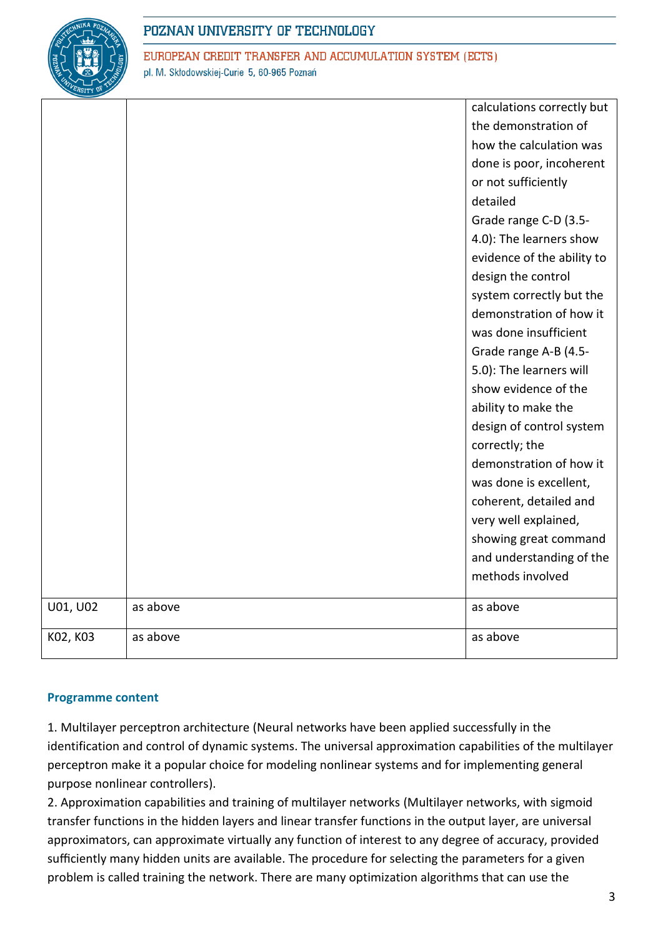

EUROPEAN CREDIT TRANSFER AND ACCUMULATION SYSTEM (ECTS) pl. M. Skłodowskiej-Curie 5, 60-965 Poznań

|          |          | calculations correctly but                     |  |
|----------|----------|------------------------------------------------|--|
|          |          | the demonstration of                           |  |
|          |          | how the calculation was                        |  |
|          |          | done is poor, incoherent                       |  |
|          |          | or not sufficiently                            |  |
|          |          | detailed                                       |  |
|          |          | Grade range C-D (3.5-                          |  |
|          |          | 4.0): The learners show                        |  |
|          |          | evidence of the ability to                     |  |
|          |          | design the control<br>system correctly but the |  |
|          |          |                                                |  |
|          |          | demonstration of how it                        |  |
|          |          | was done insufficient                          |  |
|          |          | Grade range A-B (4.5-                          |  |
|          |          | 5.0): The learners will                        |  |
|          |          | show evidence of the                           |  |
|          |          | ability to make the                            |  |
|          |          | design of control system                       |  |
|          |          | correctly; the                                 |  |
|          |          | demonstration of how it                        |  |
|          |          | was done is excellent,                         |  |
|          |          | coherent, detailed and                         |  |
|          |          | very well explained,                           |  |
|          |          | showing great command                          |  |
|          |          | and understanding of the                       |  |
|          |          | methods involved                               |  |
| U01, U02 | as above | as above                                       |  |
| K02, K03 | as above | as above                                       |  |

### **Programme content**

1. Multilayer perceptron architecture (Neural networks have been applied successfully in the identification and control of dynamic systems. The universal approximation capabilities of the multilayer perceptron make it a popular choice for modeling nonlinear systems and for implementing general purpose nonlinear controllers).

2. Approximation capabilities and training of multilayer networks (Multilayer networks, with sigmoid transfer functions in the hidden layers and linear transfer functions in the output layer, are universal approximators, can approximate virtually any function of interest to any degree of accuracy, provided sufficiently many hidden units are available. The procedure for selecting the parameters for a given problem is called training the network. There are many optimization algorithms that can use the